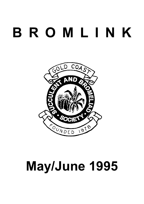# **B R O M L I N K**



# **May/June 1995**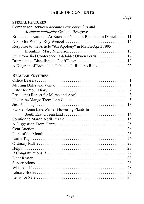# **TABLE OF CONTENTS**

# **Page**

# **SPECIAL FEATURES**

| Comparison Between Aechmea eurycorymbus and                      |  |
|------------------------------------------------------------------|--|
|                                                                  |  |
| Bromeliads Natural - At Buchanan's and in Brazil: Jum Daniels 11 |  |
|                                                                  |  |
| Response to the Article "An Apology" in March-April 1995         |  |
|                                                                  |  |
| 8th Bromeliad Conference, Adelaide: Olwen Ferris. 17             |  |
|                                                                  |  |
| A Diagram of Bromeliad Habitats: P. Raulino Reitz 22             |  |

# **REGULAR FEATURES**

| 13                                           |
|----------------------------------------------|
| Puzzle: Some Late Winter Flowering Plants In |
| South East Queensland<br>14                  |
| 15                                           |
| 25                                           |
| 26                                           |
| 26                                           |
| 26                                           |
| 27                                           |
| 27                                           |
| 27                                           |
| 28                                           |
| 28                                           |
| 28                                           |
| 29                                           |
| 30                                           |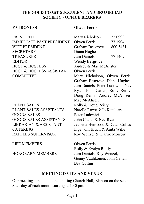### **THE GOLD COAST SUCCULENT AND BROMELIAD SOCIETY - OFFICE BEARERS**

#### **PATRONESS Olwen Ferris**

| Mary Nicholson<br>72 0993        |
|----------------------------------|
| Olwen Ferris<br>77 1904          |
| 800 5431<br>Graham Besgrove      |
| Diana Hughes                     |
| Jum Daniels<br>77 1469           |
| <b>Wendy Besgrove</b>            |
| Audrey & Mac McAlister           |
| Olwen Ferris                     |
| Mary Nicholson, Olwen Ferris,    |
| Graham Besgrove, Diana Hughes,   |
| Jum Daniels, Peter Ludowici, Nev |
| Ryan, John Catlan, Rolly Reilly, |
| Doug Reilly, Audrey McAlister,   |
| Mac McAlister                    |
| Rolly & Doug Reilly              |
| Narelle Rowe & Jo Ketelaars      |
| Peter Ludowici                   |
| John Catlan & Nev Ryan           |
| Jeanette Henwood & Dawn Collas   |
| Inge vom Bruch & Anita Wille     |
| Roy Wenzel & Clarrie Morrow      |
| Olwen Ferris                     |
| Rolly & Evelyn Reilly            |
| Jum Daniels, Roy Wenzel,         |
| Genny Vauhkonen, John Catlan,    |
| <b>Bev Collins</b>               |
|                                  |

#### **MEETING DATES AND VENUE**

Our meetings are held at the Uniting Church Hall, Elanora on the second Saturday of each month starting at 1.30 pm.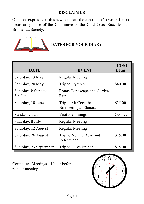# **DISCLAIMER**

Opinions expressed in this newsletter are the contributor's own and are not necessarily those of the Committee or the Gold Coast Succulent and Bromeliad Society.



# **DATES FOR YOUR DIARY**

| <b>DATE</b>                    | <b>EVENT</b>                                 | <b>COST</b><br>(if any) |
|--------------------------------|----------------------------------------------|-------------------------|
| Saturday, 13 May               | <b>Regular Meeting</b>                       |                         |
| Saturday, 20 May               | Trip to Gympie                               | \$40.00                 |
| Saturday & Sunday,<br>3-4 June | Rotary Landscape and Garden<br>Fair          |                         |
| Saturday, 10 June              | Trip to Mt Coot-tha<br>No meeting at Elanora | \$15.00                 |
| Sunday, 2 July                 | Visit Flemmings                              | Own car                 |
| Saturday, 8 July               | <b>Regular Meeting</b>                       |                         |
| Saturday, 12 August            | <b>Regular Meeting</b>                       |                         |
| Saturday, 26 August            | Trip to Neville Ryan and<br>Jo Ketelaar      | \$15.00                 |
| Saturday, 23 September         | Trip to Olive Branch                         | \$15.00                 |

Committee Meetings - 1 hour before regular meeting.

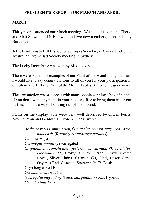#### **PRESIDENT'S REPORT FOR MARCH AND APRIL**

#### **MARCH**

Thirty people attended our March meeting. We had three visitors, Cheryl and Matt Stewart and N Baldwin; and two new members, John and Judy Borthistle.

A big thank you to Bill Bishop for acting as Secretary - Diana attended the Australian Bromeliad Society meeting in Sydney.

The Lucky Door Prize was won by Mike Levine.

There were some nice examples of our Plant of the Month - Cryptanthus. I would like to say congratulations to all of you for your participation in our Show and Tell and Plant of the Month Tables. Keep up the good work.

The cent auction was a success with many people winning a box of plants. If you don't want any plant in your box, feel free to bring them in for our raffles. This is a way of sharing our plants around.

Plants on the display table were very well described by Olwen Ferris, Neville Ryan and Genny Vauhkonen. These were:

> *Aechmea retusa,smithiorum, fasciata* (spineless)*, purpureo-rosea, napoensis* (formerly *Streptocalyx pallidus*) Canmea Majo *Ceropegia woodii* (?) variegated *Cryptanthus bromelioides, fosterianus, carinata(?), bivittatus, luddemannii(?),* Frosty, *Acaulis* 'Grace', Claws, Coffee Royal, Silver Lining, Carnival (?), Glad, Desert Sand, Osyanus Red, Cascade, Starwine, It, Ti, Dusk Cryptbergia Red Burst *Guzmania rubro-lutea Neoregelia meyendorffii albo marginata*, Skotak Hybrids *Orthotanthus* What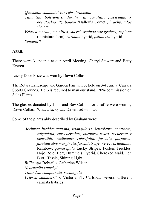*Quesnelia edmundoi var rubrobracteata Tillandsia boliviensis, duratii var saxatilis, fasciculata x polystachia* (?), *baileyi* 'Halley's Comet', *brachycaulos* 'Select' *Vriesea mariae, metallica, sucrei, ospinae var gruberi, ospinae* (miniature form), *carinata* hybrid, *psittacina* hybrid *Stapelia* ?

**APRIL**

There were 31 people at our April Meeting, Cheryl Stewart and Betty Everett.

Lucky Door Prize was won by Dawn Collas.

The RotaryLandscape and Garden Fair will be held on 3-4 June at Carrara Sports Grounds. Help is required to man our stand. 20% commission on Sales Plants.

The glasses donated by John and Bev Collins for a raffle were won by Dawn Collas. What a lucky day Dawn had with us.

Some of the plants ably described by Graham were:

*Aechmea lueddemanniana, triangularis, leucolepis, contracta, calyculata, eurycorymbus, purpurea-rosea, recurvata v benrathii, nudicaulis rubrafolia, fasciata purpurea, fasciata albo marginata, fasciata* Super Select, *orlandiana* Rainbow, *gamasepala* Lucky Stripes, Fosters Freckles, Hojo Rojo, Bert, Hummels Hybrid, Cherokee Maid, Len Butt, Tessie, Shining Light *Billbergia* Bobtail x Catherine Wilson *Neoregelia kautskyi Tillandsia complanata, rectangula Vriesea saundersii* x Victoria F1, Carlsbad, several different carinata hybrids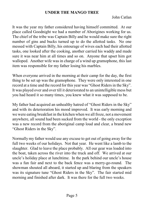#### **UNDER THE MANGO TREE**

John Catlan

It was the year my father considered having himself committed. At our place called Goodnight we had a number of Aborigines working for us. The chief of the tribe was Captain Billy and he would make sure the right number of gins and bucks turned up to do the allotted tasks. No one messed with Captain Billy, his entourage of wives each had their allotted tasks, one looked after the cooking, another carried his waddy and made sure it was near him at all times and so on. Anyone that upset him got walloped. Another wife was in charge of a wind up gramophone, this last item was responsible for my father losing his marbles.

When everyone arrived in the morning at their camp for the day, the first thing to be set up was the gramophone. They were only interested in one record at a time and the record for this year was "Ghost Riders in the Sky". It was played over and over till it deteriorated to an unintelligible mess but you had heard it so many times, you knew what it was supposed to be.

My father had acquired an unhealthy hatred of "Ghost Riders in the Sky" and with its deterioration his mood improved. It was early morning and we were eating breakfast in the kitchen when we all froze, not a movement anywhere, all sound had been sucked from the world - the only exception was a new record from the aboriginal camp loud and clear, a brand new "Ghost Riders in the Sky".

Normally my father would use any excuse to get out of going away for the full two weeks of our holidays. Not that year. He went like a lamb to the slaughter. Glad to leave the place probably. All our gear was loaded into the boat, taken across the river into the truck and off. We arrived at our uncle's holiday place at lunchtime. In the park behind our uncle's house was a fun fair and next to the back fence was a merry-go-round. The showman shouted all aboard, it started up and blaring from the speakers was its signature tune "Ghost Riders in the Sky". The fair started mid morning and finished after dark. It was there for the full two weeks.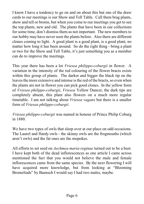I know I have a tendency to go on and on about this but one of the draw cards to our meetings is our Show and Tell Table. Call them brag plants, show and tell or broms, but when you come to our meetings you get to see the top plants, new and old. The plants that have been in our collections for some time, don't dismiss them as not important. The new members to our hobby may have never seen the plants before. Also there are different clones coming to light. A good plant is a good plant, is a good plant, no matter how long it has been around. So do the right thing - bring a plant or two for the Show and Tell Table, it's just something you as a member can do to improve the meetings.

This year there has been a lot *Vriesea philippo-coburgii* in flower. A variation in the intensity of the red colouring of the flower bracts exists within this group of plants. The darker and bigger the black tip on the leaves the more extensive and intense is the red of the bracts, so even when the plants are not in flower you can pick good clones. In the yellow form of *Vriesea philippo-coburgii*, *Vriesea* Yellow Dancer, the dark tips are completely absent, this plant also flowers on a much more regular timetable. I am not talking about *Vriesea vagans* but there is a smaller form of *Vriesea philippo-coburgii*.

*Vriesea philippo-coburgii* was named in honour of Prince Philip Coburg in 1880.

We have two types of owls that sleep over at our place on odd occasions. The Laurel and Hardy owls - the skinny owls are the frogmouths (which aren't owls) and the fat ones are the mopokes.

All efforts to set seed on *Aechmea maria-reginae* turned out to be a bust. I have kept both of the dead inflorescences as one article I came across mentioned the fact that you would not believe the male and female inflorescences came from the same species. By the next flowering I will have acquired more knowledge, but from looking at "Blooming Bromeliads" by Baensch I would say I had two males, maybe.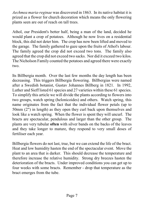*Aechmea maria-reginae* was discovered in 1863. In its native habitat it is prized as a flower for church decoration which means the only flowering plants seen are out of reach on tall trees.

Athol, our President's better half, being a man of the land, decided he would plant a crop of potatoes. Although he now lives on a residential block, this did not deter him. The crop has now been lifted and moved to the garage. The family gathered to gaze upon the fruits of Athol's labour. The family agreed the crop did not exceed two tons. The family also agreed that the crop did not exceed two sacks. Nor did it exceed two kilos. The Nicholson Family counted the potatoes and agreed there were exactly two.

Its Billbergia month. Over the last few months the day length has been decreasing. This triggers Billbergia flowering. Billbergias were named after a Swedish botanist, Gustav Johannes Billberg in 1821. In 1992, Luther and Sieff listed 61 species and 27 varieties within these 61 species. To simplify this article we will divide the plants according to flowers into two groups, watch spring (helonicoides) and others. Watch spring, this name originates from the fact that the individual flower petals (up to 50mm (2") in length) as they open they curl back upon themselves and look like a watch spring. When the flower is spent they will uncurl. The bracts are spectacular, pendulous and larger than the other group. The plants are very tubular **often** with silver bands on the backs of the leaves and they take longer to mature, they respond to very small doses of fertiliser each year.

Billbergia flowers do not last, true, but we can extend the life of the bract. Heat and low humidity hasten the end of the spectacular event. Move the plant to an area that is darker. This should decrease the temperature and therefore increase the relative humidity. Strong dry breezes hasten the deterioration of the bracts. Under improved conditions you can get up to four weeks with some bracts. Remember - drop that temperature as the bract emerges from the tube.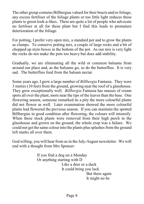The other group contains Billbergias valued for their bracts and/or foliage, any excess fertiliser of the foliage plants or too little light reduces these plants to green look-a-likes. There are quite a lot of people who advocate no fertiliser at all for these plant but I find this leads to premature deterioration of the foliage.

For potting, I prefer very open mix, a standard pot and to grow the plants as clumps. To conserve potting mix, a couple of large rocks and a bit of chopped up styro boxes in the bottom of the pot. As our mix is very light the rocks do not make the pots too heavy but does add stability.

Gradually, we are eliminating all the wild or common balsams from around our place and, as the balsams go, so do the butterflies. It is very sad. The butterflies feed from the balsam nectar.

Some years ago, I grew a large number of *Billbergia* Fantasia. They were 3 metres (10 feet) from the ground, growing near the roof of a glasshouse. They grew exceptionally well. *Billbergia* Fantasia has masses of cream spots all over the plant, more near the tips of the leaves than the base. One flowering season, someone remarked its a pity the more colourful plants did not flower as well. Later examination showed the more colourful plants had flowered the previous season. If you can maintain the spotted Billbergias in good condition after flowering, the colours will intensify. When these stock plants were removed from their high perch in the glasshouse and grown on the ground, the whole crop was a failure. We could not get the same colour into the plants plus splashes from the ground left marks all over them.

God willing, you will hear from us in the July-August newsletter. We will end with a thought from Mrs Spenser:

> If you find a dog on a Monday Or anything starting with D Like a deer or a duck It could bring you luck But there again It might no be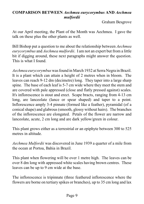### **COMPARISON BETWEEN** *Aechmea eurycorymbus* **AND** *Aechmea mulfordii*

Graham Besgrove

At our April meeting, the Plant of the Month was Aechmea. I gave the talk on these plus the other plants as well.

Bill Bishop put a question to me about the relationship between *Aechmea eurycorymbus* and *Aechmea mulfordii*. I am not an expert but from a little bit if digging around, these next paragraphs might answer the question. This is what I found.

*Aechmea eurycorymbus* was found in March 1932 at Serra Negra in Brazil. It is a plant which can attain a height of 2 metres when in bloom. The leaves can reach 9-12 dm (decimetre) long. They taper into a large sharp spine. The base of each leaf is 5-7 cm wide where they meet the stem and are covered with pale appressed (close and flatly pressed against) scales. It's inflorescence is stout and erect. Scape bracts, ranging from 4-13 cm long, are lanceolate (lance or spear shaped) and taper to a point. Inflorescence amply 3-4 pinnate (formed like a feather), pyramidal (of a conical shape) and glabrous (smooth, glossy without hairs). The branches of the inflorescence are elongated. Petals of the flower are narrow and lanceolate, acute, 2 cm long and are dark yellow/green in colour.

This plant grows either as a terrestrial or an epiphyte between 300 to 525 metres in altitude.

*Aechmea Mulfordii* was discovered in June 1939 a quarter of a mile from the ocean at Portoa, Bahia in Brazil.

This plant when flowering will be over 1 metre high. The leaves can be over 8 dm long with appressed white scales having brown centres. These leaves can be up to 9 cm wide at the base.

The inflorescence is tripinnate (three feathered inflorescence where the flowers are borne on tertiary spikes or branches), up to 35 cm long and lax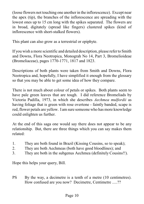(loose flowers not touching one another in the inflorescence). Except near the apex (tip), the branches of the inflorescence are spreading with the lowest ones up to 15 cm long with the spikes separated. The flowers are in broad, digitately (spread like fingers) clustered spikes (kind of inflorescence with short-stalked flowers).

This plant can also grow as a terrestrial or epiphyte.

If you wish a more scientific and detailed description, please refer to Smith and Downs, Flora Neotropica, Monograh No 14, Part 3, Bromelioideae (Bromeliaceae), pages 1770-1771, 1817 and 1823.

Descriptions of both plants were taken from Smith and Downs, Flora Neotropica and, hopefully, I have simplified it enough from the glossary so that you may be able to get some idea of how they compare.

There is not much about colour of petals or spikes. Both plants seem to have pale green leaves that are tough. I did reference Bromeliads by Victoria Padilla, 1973, in which she describes *Aechmea mulfordii* as having foliage that is green with rose overtone - faintly banded, scape is red, flower petals are yellow. I am sure someone who has more knowledge could enlighten us further.

At the end of this saga one would say there does not appear to be any relationship. But, there are three things which you can say makes them related:

- 1. They are both found in Brazil (Kissing Cousins, so to speak);
- 2. They are both Aechmeas (both have good bloodlines); and
- 3. They are both in the subgenus Aechmea (definitely Cousins!!).

Hope this helps your query, Bill.

PS By the way, a decimetre is a tenth of a metre (10 centimetres). How confused are you now? Decimetre, Centimetre .....??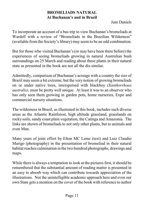# **BROMELIADS NATURAL At Buchanan's and in Brazil**

Jum Daniels

To incorporate an account of a bus trip to view Buchanan's bromeliads at Wardell with a review of "Bromeliads in the Brazilian Wilderness" (available from the Society's library) may seem to be an odd combination.

But for those who visited Buchanan's (or may have been there before) the experiences of seeing bromeliads growing in natural Australian bush surroundings on 25 March and reading about these plants in their natural state as presented in the book are not all the dis-similar.

Admittedly, comparison of Buchanan's acreage with a country the size of Brazil may seem a bit extreme; but the very notion of growing bromeliads on or under native trees, interspersed with blackboy *(Xanthorrhoea australis)*, must be pretty well unique. At least it was to an observer who has only seen them growing in garden pots, home nurseries, Expo and commercial nursery situations.

The wilderness in Brazil, as illustrated in this book, includes such diverse areas as the Atlantic Rainforest, high altitude grassland, grasslands on rocky soils, sandy coast plain vegetation, the Catinga and Amazonia. The links are shown of bromeliads to not only other plants, but to animals and even Man.

Many years of joint effort by Elton MC Leme (text) and Luiz Claudio Marigo (photography) in the presentation of bromeliad in their natural habitat reaches culmination in the two hundred photographs, drawings and maps.

While there is always a temptation to look at the pictures first, it should be remembered that the substantial amount of reading matter is presented in an easy to absorb way which can contribute towards appreciation of the illustrations. Not the unintelligible academic approach here and even our own State gets a mention on the cover of the book with reference to author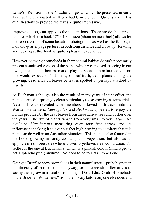Leme's "Revision of the Nidularium genus which he presented in early 1993 at the 7th Australian Bromeliad Conference in Queensland." His qualifications to provide the text are quite impressive.

Impressive, too, can apply to the illustrations. There are double-spread features which in a book 12" x 10" in size (about an inch thick) allows for the reproduction of some beautiful photographs as well as the full page, half and quarter page pictures in both long distance and close-up. Reading and looking at this book is quite a pleasant experience.

However, viewing bromeliads in their natural habitat doesn't necessarily present a sanitised version of the plants which we are used to seeing in our own gardens in our homes or at displays or shows. In natural conditions one would expect to find plenty of leaf trash, dead plants among the growing, dead ends on leaves or leaves spotted or perhaps attacked by insects.

At Buchanan's though, also the result of many years of joint effort, the plants seemed surprisingly clean particularly those growing as terrestrials. As a bush walk revealed when members followed bush tracks into the Wardell wilderness, *Neoregelias* and *Aechmeas* appeared to enjoy the humus provided by the dead leaves from these native trees and bushes over the years. The size of plants ranged from very small to very large. An *Aechmea blanchetiana* measuring over four feet across and its inflorescence taking it to over six feet high proving to admirers that this plant can do well in an Australian situation. This plant is also featured in the book, growing in sandy coastal plains vegetation, but also as an epiphyte in rainforest area where it loses its yellowish leaf colouration. I'll settle for the one at Buchanan's, which is a pinkish colour (I managed to get a splendid pup!) anytime. No need to go to Brazil to get one.

Going to Brazil to view bromeliads in their natural state is probably not on the itinerary of most members anyway, so there are still alternatives to seeing them grow in natural surroundings. Do as I did. Grab "Bromeliads in the Brazilian Wilderness" from the library before anyone else does and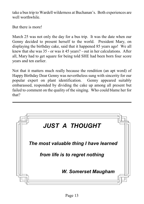take a bus trip to Wardell wilderness at Buchanan's. Both experiences are well worthwhile

But there is more!

March 25 was not only the day for a bus trip. It was the date when our Genny decided to present herself to the world. President Mary, on displaying the birthday cake, said that it happened 85 years ago! We all knew that she was 35 - or was it 45 years? - out in her calculations. After all, Mary had to get square for being told SHE had been born four score years and ten earlier.

Not that it matters much really because the rendition (an apt word) of Happy Birthday Dear Genny was nevertheless sung with sincerity for our popular expert on plant identification. Genny appeared suitably embarassed, responded by dividing the cake up among all present but failed to comment on the quality of the singing. Who could blame her for that?

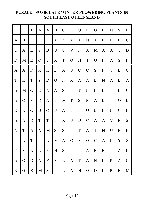# **PUZZLE: SOME LATE WINTER FLOWERING PLANTS IN SOUTH EAST QUEENSLAND**

| $\mathcal{C}$ | $\mathbf I$    | T              | A              | A           | H              | $\mathcal{C}$ | $\overline{F}$ | U             | L                         | G             | E            | N                         | S             | N            |
|---------------|----------------|----------------|----------------|-------------|----------------|---------------|----------------|---------------|---------------------------|---------------|--------------|---------------------------|---------------|--------------|
| $\mathbf{A}$  | H              | D              | E              | $\mathbf R$ | $\mathbf{A}$   | N             | $\mathbf{A}$   | A             | $\mathbf N$               | A             | E            | $\bf I$                   | $\mathbf I$   | $\mathbf U$  |
| $\mathbf U$   | $\mathbf{A}$   | L              | S              | B           | U              | U             | $\mathbf V$    | $\mathbf I$   | $\mathbf{A}$              | M             | $\mathbf{A}$ | A                         | T             | D            |
| D             | M              | E              | $\overline{O}$ | U           | $\mathbf R$    | $\mathbf T$   | $\mathcal{O}$  | H             | T                         | $\mathcal{O}$ | ${\bf P}$    | A                         | S             | $\rm I$      |
| $\mathbf{A}$  | $\mathbf{A}$   | ${\bf P}$      | $\mathbf R$    | $\mathbf R$ | E              | A             | U              | $\mathcal{C}$ | $\mathcal{C}$             | S             | $\rm I$      | $\mathbf T$               | E             | $\mathsf C$  |
| $\mathbf T$   | $\mathbb{R}$   | $\mathbf T$    | S              | $\mathbf D$ | $\overline{O}$ | N             | $\mathbf R$    | A             | $\mathbf{A}$              | E             | ${\bf N}$    | A                         | L             | $\mathbf{A}$ |
| $\mathbf{A}$  | M              | $\overline{O}$ | E              | N           | $\mathbf{A}$   | ${\bf S}$     | $\mathbf I$    | $\mathbf T$   | $\mathbf{P}$              | ${\bf P}$     | E            | $\mathbf T$               | E             | U            |
| A             | $\mathbf O$    | $\mathbf P$    | D              | A           | E              | M             | $\mathbf T$    | S             | $\mathbf M$               | A             | L            | $\mathbf T$               | $\mathbf O$   | L            |
| E             | $\mathbf R$    | $\overline{O}$ | B              | $\mathbf O$ | B              | A             | E              | $\rm I$       | $\overline{O}$            | L             | $\mathbf I$  | $\bf I$                   | $\mathcal{C}$ | $\mathbf I$  |
| $\mathbf{A}$  | $\mathbf{A}$   | D              | $\mathbf T$    | $\mathbf T$ | E              | $\mathbf R$   | B              | $\mathbf D$   | $\mathbf C$               | A             | $\mathbf{A}$ | $\ensuremath{\mathbf{V}}$ | $\mathbf N$   | ${\bf S}$    |
| $\mathbf N$   | $\rm T$        | A              | $\mathbf{A}$   | M           | S              | ${\bf S}$     | $\mathbf I$    | $\mathbf T$   | $\mathbf{A}$              | $\mathbf T$   | $\mathbf N$  | U                         | $\mathbf{P}$  | ${\bf E}$    |
| $\bf I$       | $\mathbf{A}$   | $\mathbf T$    | $\bf I$        | A           | $\mathbf M$    | $\mathbf{A}$  | $\mathcal{C}$  | $\mathbf R$   | $\overline{O}$            | $\mathbf C$   | $\mathbf{A}$ | L                         | $\mathbf Y$   | $\mathbf X$  |
| $\mathcal{C}$ | $\mathbf{F}$   | $\mathbf N$    | L              | $\mathbf R$ | $H_{\rm}$      | ${\bf S}$     | $\rm I$        | $\mathbf L$   | $\mathbf{A}$              | $\mathbf R$   | E            | $\mathbf T$               | $\mathbf{A}$  | $\mathbf L$  |
| $\mathbf{A}$  | $\overline{O}$ | $\mathbf D$    | $\mathbf{A}$   | $\mathbf Y$ | ${\bf P}$      | E             | $\mathbf{A}$   | $\mathbf T$   | $\boldsymbol{\mathsf{A}}$ | $\mathbf N$   | $\rm I$      | $\mathbf R$               | $\mathbf{A}$  | $\mathsf C$  |
| $\mathbf R$   | G              | E              | M              | ${\bf S}$   | $\rm I$        | L             | A              | ${\bf N}$     | $\overline{O}$            | D             | $\mathbf I$  | $\mathbf R$               | E             | $\mathbf M$  |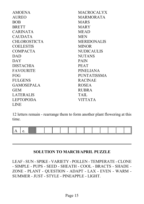| <b>AMOENA</b>       | <b>MACROCALYX</b>  |
|---------------------|--------------------|
| <b>AUREO</b>        | <b>MARMORATA</b>   |
| <b>BOB</b>          | <b>MARS</b>        |
| <b>BRETT</b>        | <b>MARY</b>        |
| <b>CARINATA</b>     | <b>MEAD</b>        |
| <b>CAUDATA</b>      | <b>MEN</b>         |
| <b>CHLOROSTICTA</b> | <b>MERIDONALIS</b> |
| <b>COELESTIS</b>    | <b>MINOR</b>       |
| <b>COMPACTA</b>     | <b>NUDICAULIS</b>  |
| <b>DAD</b>          | <b>NUTANS</b>      |
| DAY                 | PAIN               |
| <b>DISTACHIA</b>    | <b>PEAT</b>        |
| <b>FAVOURITE</b>    | <b>PINELIANA</b>   |
| <b>FOG</b>          | <b>PUNTATISSMA</b> |
| <b>FULGENS</b>      | <b>RACINAE</b>     |
| <b>GAMOSEPALA</b>   | <b>ROSEA</b>       |
| <b>GEM</b>          | <b>RUBRA</b>       |
| <b>LATERALIS</b>    | <b>TAIL</b>        |
| <b>LEPTOPODA</b>    | <b>VITTATA</b>     |
| <b>LINE</b>         |                    |
|                     |                    |

12 letters remain - rearrange them to form another plant flowering at this time.



#### **SOLUTION TO MARCH/APRIL PUZZLE**

LEAF - SUN - SPIKE - VARIETY - POLLEN - TEMPERATE - CLONE - SIMPLE - PUPS - SEED - SHEATH - COOL - BRACTS - SHADE - ZONE - PLANT - QUESTION - ADAPT - LAX - EVEN - WARM - SUMMER - JUST - STYLE - PINEAPPLE - LIGHT.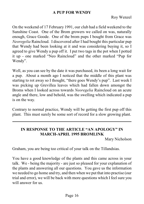#### **A PUP FOR WENDY**

On the weekend of 17 February 1991, our club had a field weekend to the Sunshine Coast. One of the Brom growers we called on was, naturally enough, Grace Goode. One of the brom pups I bought from Grace was *Neoregelia* Raincloud. I discovered after I had bought this particular pup that Wendy had been looking at it and was considering buying it, so I agreed to give Wendy a pup off it. I put two tags in the pot when I potted it up - one marked "Neo Raincloud" and the other marked "Pup for Wendy".

Well, as you can see by the date it was purchased, its been a long wait for a pup. About a month ago I noticed that the middle of this plant was starting to rot away so I thought, "there goes Wendy's pup". Last week I was picking up Grevillea leaves which had fallen down amongst the Broms when I looked across towards *Neoregelia* Raincloud on an acute angle and there, low and behold, was the swelling which indicated a pup is on the way.

Contrary to normal practice, Wendy will be getting the first pup off this plant. This must surely be some sort of record for a slow growing plant.

# **IN RESPONSE TO THE ARTICLE "AN APOLOGY" IN MARCH-APRIL 1995 BROMLINK**

Mary Nicholson

Graham, you are being too critical of your talk on the Tillandsias.

You have a good knowledge of the plants and this came across in your talk. We - being the majority - are just so pleased for your explanation of the plants and answering all our questions. You gave us the information we needed to go home and try, and then when we put that into practise (our trial and error), we will be back with more questions which I feel sure you will answer for us.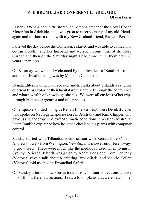# **8TH BROMELIAD CONFERENCE, ADELAIDE**

```
Olwen Ferris
```
Easter 1995 saw about 70 Bromeliad persons gather at the Royal Coach Motor Inn in Adelaide and it was great to meet so many of my old friends again and to share a room with my New Zealand friend, Patricia Perrot.

I arrived the day before the Conference started and was able to contact my cousin Dorothy and her husband and we spent some time at the Rose Garden and then on the Saturday night I had dinner with them after 20 years separation.

On Saturday we were all welcomed by the President of South Australia and the official opening was by Malcolm Campbell.

Renata Ehlers was the main speaker and her talks about Tillandsias and her overseas trips exploring their habitat were scattered through the conference and what a wealth of knowledge she has. We were all envious of her trips through Mexico, Argentina and other places.

Other speakers, fitted in to give Renata Ehlers a break, were Derek Butcher who spoke on Neoregelia species here in Australia and Kim Chipper who gave us a "Sandgropers View" of climatic conditions in Western Australia. Peter Franklin explained how he kept a check on his plants with computer control.

Sunday started with Tillandsia identification with Renata Ehlers' help. Andrew Flowers from Wellington, New Zealand, showed us different ways to grow seed. These were much like the methods I used when living in Sydney. Vriesea Hybrids was given by Adam Bodzioch; Tom Kapitany (Victoria) gave a talk about Marketing Bromeliads; and Maurie Kellett (Victoria) told us about a Bromeliad Safari.

On Sunday afternoon, two buses took us to visit four collections and we took off in different directions. I saw a lot of plants that were new to me.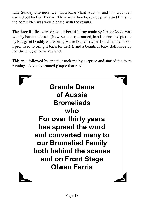Late Sunday afternoon we had a Rare Plant Auction and this was well carried out by Len Trevor. There were lovely, scarce plants and I'm sure the committee was well pleased with the results.

The three Raffles were drawn: a beautiful rug made by Grace Goode was won by Patricia Perrott (New Zealand); a framed, hand embroided picture by Margaret Draddywas won byMarie Daniels (when Isold her the ticket, I promised to bring it back for her!!); and a beautiful baby doll made by Pat Sweeney of New Zealand.

This was followed by one that took me by surprise and started the tears running. A lovely framed plaque that read:

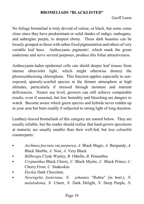#### **BROMELIADS "BLACKLISTED"**

#### Geoff Lawn

No foliage bromeliad is truly devoid of colour, or black, but some come close since they have predominant or solid shades of indigo, mahogany, and aubergine purple, to deepest ebony. These dark beauties can be loosely grouped as those with rather fixed pigmentation and others of very variable leaf hues. Anthocyanic pigments<sup>1</sup>, which mask the green undertone and serve several purposes, produce this foliar attractiveness.

Anthocyanin-laden epidermal cells can shield deeper leaf tissues from intense ultraviolet light, which might otherwise destroy the photosynthesising chloroplasts. This function applies especially to sunexposed, sparsely-scurfed species in the thinner atmosphere at high altitudes, particularly if stressed through moisture and nutrient deficiencies. Nearer sea level, growers can still achieve comparable results, even if seasonal, but low humidity and bleaching are dangers to watch. Become aware which green species and hybrids never redden up in your area but burn readily if subjected to strong light of long duration.

Leathery-leaved bromeliads of this category are named below. They are usually reliable, but the reader should realise that hard-grown specimens at maturity are usually smaller than their well-fed, but less colourful counterparts:

- C *Aechmea fasciata* var *purpurea, A.* Black Magic, *A.* Burgundy, *A.* Black Marble, *A.* Noir, *A.* Very Black
- C *Billbergia* Clyde Wasley, *B.* Othello, *B.* Penumbra
- C *Cryptanthus* Black Cherry, *C.* Black Mystic, *C.* Black Prince, *C.* Cherry Frost, *C.* Snakeskin.
- **Dyckia Dark Chocolate.**
- C *Neoregelia fosteriana, N. johannis* "Rubra" (in hort.), *N. melalodonta, N.* Claret, *N.* Dark Delight, *N.* Deep Purple, *N.*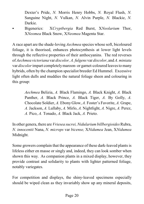Dexter's Pride, *N.* Morris Henry Hobbs, *N.* Royal Flush, *N.* Sanguine Night, *N.* Vulkan, *N.* Alvin Purple, *N.* Blackie, *N.* Darkie.

C Bigenerics: X*Cryptbergia* Red Burst, X*Neolarium* Thor, X*Neomea* Black Snow, X*Neomea* Magenta Star.

A race apart are the shade-loving *Aechmea* species whose soft, bicoloured foliage, it is theorised, enhances photocynthesis at lower light levels through the reflective properties of their anthocyanins. The red reverses of *Aechmea victoriana* var *discolor, A. fulgens* var *discolor*, and *A. miniata* var *discolor*impart completelymaroon- or garnet-coloured leaves to many hybrids, often by the champion specialist breeder Ed Hummel. Excessive light often dulls and muddies the natural foliage sheen and colouring in this group:

> *Aechmea* Belizia, *A.* Black Flamingo, *A.* Black Knight, *A.* Black Panther, *A.* Black Prince, *A.* Black Tiger, *A.* By Golly, *A.* Chocolate Soldier, *A.* Ebony Glow, *A.* Foster's Favorite, *A.* Grape, *A.* Jackson, *A.* Lullaby, *A.* Mirlo, *A.* Nightlight, *A.* Nigre, *A.* Perez, *A.* Pico, *A.* Tonado, *A.* Black Jack, *A.* Prieto.

In other genera, there are *Vriesea sucrei*, *Nidularium billbergioides* Rubra, *N. innocentii* Nana, *N. microps* var *bicense,* X*Nidumea* Jean, X*Nidumea* Midnight.

Some growers complain that the appearance of these dark-leaved plants is lifeless either en masse or singly and, indeed, they can look somber when shown this way. As companion plants in a mixed display, however, they provide contrast and solidarity to plants with lighter patterned foliage, notably variegates.

For competition and displays, the shiny-leaved specimens especially should be wiped clean as they invariably show up any mineral deposits,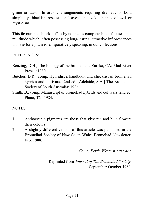grime or dust. In artistic arrangements requiring dramatic or bold simplicity, blackish rosettes or leaves can evoke themes of evil or mysticism.

This favourable "black list" is by no means complete but it focuses on a multitude which, often possessing long-lasting, attractive inflorescences too, vie for a plum role, figuratively speaking, in our collections.

### REFERENCES:

- Benzing, D.H., The biology of the bromeliads. Eureka, CA: Mad River Press; c1980.
- Butcher, D.R., comp. Hybridist's handbook and checklist of bromeliad hybrids and cultivars. 2nd ed. [Adelaide, S.A.] The Bromeliad Society of South Australia; 1986.
- Smith, B., comp. Manuscript of bromeliad hybrids and cultivars. 2nd ed. Plano, TX; 1984.

# NOTES:

- 1. Anthocyanic pigments are those that give red and blue flowers their colours.
- 2. A slightly different version of this article was published in the Bromeliad Society of New South Wales Bromeliad Newsletter, Feb. 1988.

*Como, Perth, Western Australia*

Reprinted from *Journal of The Bromeliad Society*, September-October 1989.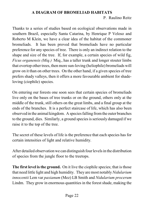# **A DIAGRAM OF BROMELIAD HABITATS** P. Raulino Reitz

Thanks to a series of studies based on ecological observations made in southern Brazil, especially Santa Catarina, by Henrique P Veloso and Roberto M Klein, we have a clear idea of the habitat of the commoner bromeliads. It has been proved that bromeliads have no particular preference for any species of tree. There is only an indirect relation to the shape and size of the tree. If, for example, a certain species of wild fig, *Ficus organensis (Miq.)* Miq., has a taller trunk and longer stouter limbs that overtop other trees, then more sun-loving (heliophile) bromeliads will grow on it than on other trees. On the other hand, if a given species of tree prefers shady valleys, then it offers a more favourable ambient for shadeloving (ciophile) species.

On entering our forests one soon sees that certain species of bromeliads live only on the bases of tree trunks or on the ground, others only at the middle of the trunk, still others on the great limbs, and a final group at the ends of the branches. It is a perfect staircase of life, which has also been observed in the animal kingdom. A species falling from the outer branches to the ground, dies. Similarly, a ground species is seriously damaged if we raise it to the top of the tree.

The secret of these levels of life is the preference that each species has for certain intensities of light and relative humidity.

After detailed observation we can distinguish four levels in the distribution of species from the jungle floor to the treetops.

**The first level is the ground.** On it live the ciophile species; that is those that need little light and high humidity. They are most notably*Nidularium innocentii* Lem var *paxianum* (Mez) LB Smith and *Nidularium procerum* Lindm. They grow in enormous quantities in the forest shade, making the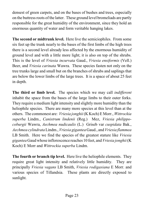densest of green carpets, and on the bases of bushes and trees, especially on the buttress roots of the latter. These ground level bromeliads are partly responsible for the great humidity of the environment, since they hold an enormous quantity of water and form veritable hanging lakes.

**The second or midtrunk level.** Here live the semiciophiles. From some six feet up the trunk nearly to the bases of the first limbs of the high trees there is a second level already less affected by the enormous humidity of ground level and with a little more light; it is also on top of the shrubs. This is the level of *Vriesia incurvata* Gaud., *Vriesia ensiformis* (Vell.) Beer, and *Vriesia carinata* Wawra. These species fasten not only on the tree trunks large and small but on the branches of shrubs and saplings that are below the lower limbs of the large trees. It is a space of about 25 feet in depth.

**The third or limb level.** The species which we may call *indifferent* inhabit the space from the bases of the large limbs to their outer forks. They require a medium light intensity and slightly more humidity than the heliophile species. There are many more species at this level than at the others. The commonest are: *Vriesia jonghii*(K Koch) E Morr., *Wittrockia superba* Lindm., *Canistrum lindenii* (Reg.) Mez, *Vriesia philippocoburgii* Wawra, *Aechmea nudicaulis* (L.) Griseb var *cuspidata* Bak., *Aechmea cylindrata*Lindm., *Vriesia gigantea* Gaud., and *Vriesia flammea* LB Smith. Here we find the species of the greatest stature like *Vriesia gigantea* Gaud whose inflorescence reaches 10 feet, and *Vriesia jonghii*(K Koch) E Morr and *Wittrockia superba* Lindm.

**The fourth or branch tip level.** Here live the heliophile elements. They require great light intensity and relatively little humidity. They are principally *Vriesia vagans* LB Smith, *Vriesia rodigasiana* E Morr. and various species of Tillandsia. These plants are directly exposed to sunlight.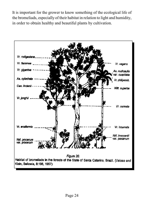It is important for the grower to know something of the ecological life of the bromeliads, especially of their habitat in relation to light and humidity, in order to obtain healthy and beautiful plants by cultivation.

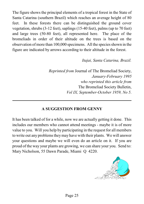The figure shows the principal elements of a tropical forest in the State of Santa Catarina (southern Brazil) which reaches an average height of 80 feet. In these forests there can be distinguished the ground cover vegetation, shrubs (3-12 feet), saplings (15-40 feet), palms (up to 70 feet) and large trees (50-80 feet), all represented here. The place of the bromeliads in order of their altitude on the trees is based on the observation of more than 100,000 specimens. All the species shown in the figure are indicated by arrows according to their altitude in the forest.

*Itajai, Santa Catarina, Brazil.*

*Reprinted from* Journal of The Bromeliad Society, *January-February 1995 who reprinted this article from* The Bromeliad Society Bulletin, *Vol IX, September-October 1959, No 5*.

# **A SUGGESTION FROM GENNY**

It has been talked of for a while, now we are actually getting it done. This includes our members who cannot attend meetings - maybe it is of more value to you. Will you help by participating in the request for all members to write out any problems theymay have with their plants. We will answer your questions and maybe we will even do an article on it. If you are proud of the way your plants are growing, we can share your you. Send to: Mary Nicholson, 55 Dawn Parade, Miami Q 4220.

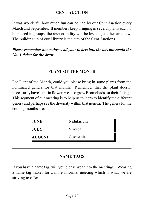# **CENT AUCTION**

It was wonderful how much fun can be had by our Cent Auction every March and September. If members keep bringing in several plants each to be placed in groups, the responsibility will be less on just the same few. The building up of our Library is the aim of the Cent Auctions.

*Please remember not to throw all your tickets into the lots but retain the No. 1 ticket for the draw.*

# **PLANT OF THE MONTH**

For Plant of the Month, could you please bring in some plants from the nominated genera for that month. Remember that the plant doesn't necessarilyhave to be in flower, we also grow Bromeliads for their foliage. This segment of our meeting is to help us to learn to identify the different genera and perhaps see the diversity within that genera. The genera for the coming months are:

| <b>JUNE</b>   | Nidularium |
|---------------|------------|
| <b>JULY</b>   | Vriesea    |
| <b>AUGUST</b> | Guzmania   |

# **NAME TAGS**

If you have a name tag, will you please wear it to the meetings. Wearing a name tag makes for a more informal meeting which is what we are striving to offer.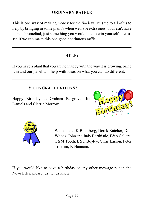# **ORDINARY RAFFLE**

This is one way of making money for the Society. It is up to all of us to help by bringing in some plant/s when we have extra ones. It doesn't have to be a bromeliad, just something you would like to win yourself. Let us see if we can make this one good continuous raffle.

# **HELP?**

If you have a plant that you are not happy with the way it is growing, bring it in and our panel will help with ideas on what you can do different.

# **!! CONGRATULATIONS !!**

Happy Birthday to Graham Besgrove, Jum Daniels and Clarrie Morrow.

![](_page_28_Picture_6.jpeg)

![](_page_28_Picture_7.jpeg)

Welcome to K Bradtberg, Derek Butcher, Don Woods, John and Judy Borthistle, E&A Sellars, C&M Tooth, E&D Beyley, Chris Larson, Peter Tristrim, K Hannam.

If you would like to have a birthday or any other message put in the Newsletter, please just let us know.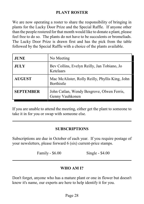# **PLANT ROSTER**

We are now operating a roster to share the responsibility of bringing in plants for the Lucky Door Prize and the Special Raffle. If anyone other than the people rostered for that month would like to donate a plant, please feel free to do so. The plants do not have to be succulents or bromeliads. The Lucky Door Prize is drawn first and has the pick from the table followed by the Special Raffle with a choice of the plants available.

| <b>JUNE</b>      | No Meeting                                                    |
|------------------|---------------------------------------------------------------|
| <b>JULY</b>      | Bev Collins, Evelyn Reilly, Jan Tobiano, Jo<br>Ketelaars      |
| <b>AUGUST</b>    | Mac McAlister, Rolly Reilly, Phyllis King, John<br>Borthistle |
| <b>SEPTEMBER</b> | John Catlan, Wendy Besgrove, Olwen Ferris,<br>Genny Vauhkonen |

If you are unable to attend the meeting, either get the plant to someone to take it in for you or swap with someone else.

# **SUBSCRIPTIONS**

Subscriptions are due in October of each year. If you require postage of your newsletters, please forward 6 (six) current-price stamps.

Family - \$6.00 Single - \$4.00

#### **WHO AM I?**

Don't forget, anyone who has a mature plant or one in flower but doesn't know it's name, our experts are here to help identify it for you.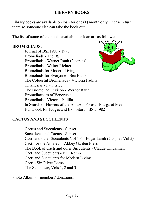# **LIBRARY BOOKS**

Library books are available on loan for one (1) month only. Please return them so someone else can take the book out.

The list of some of the books available for loan are as follows:

# **BROMELIADS:**

Journal of BSI 1981 - 1993 Bromeliads - The BSI Bromeliads - Werner Rauh (2 copies) Bromeliads - Walter Richter Bromeliads for Modern Living Bromeliads for Everyone - Bea Hanson The Colourful Bromeliads - Victoria Padilla Tillandsias - Paul Isley The Bromeliad Lexicon - Werner Rauh Bromeliaceaes of Venezuela Bromeliads - Victoria Padilla In Search of Flowers of the Amazon Forest - Margaret Mee Handbook for Judges and Exhibitors - BSI, 1982

# **CACTUS AND SUCCULENTS**

Cactus and Succulents - Sunset Succulents and Cactus - Sunset Cacti and other Succulents Vol 1-6 - Edgar Lamb (2 copies Vol 5) Cacti for the Amateur - Abbey Garden Press The Book of Cacti and other Succulents - Claude Chidamian Cacti and Succulents - E.E. Kemp Cacti and Succulents for Modern Living Cacti - Sir Oliver Leese The Stapelieae, Vols 1, 2 and 3

Photo Album of members' donations.